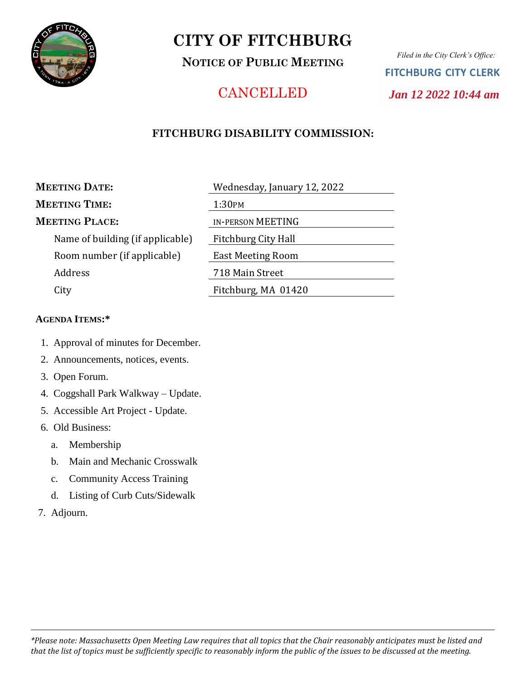

# **CITY OF FITCHBURG**

**NOTICE OF PUBLIC MEETING**

*Filed in the City Clerk's Office:* **FITCHBURG CITY CLERK**  *Jan 12 2022 10:44 am*

## **CANCELLED**

## **FITCHBURG DISABILITY COMMISSION:**

### **MEETING DATE:** Wednesday, January 12, 2022

## $M$ **EETING TIME**:

## **MEETING PLACE:**

Name of building (if applicable) Room number (if applicable) Address City **Fitchburg, MA** 01420

| $\cdots$ canceaa $\prime$ , and $\cdots$ , $\cdots$ |
|-----------------------------------------------------|
| 1:30PM                                              |
| <b>IN-PERSON MEETING</b>                            |
| Fitchburg City Hall                                 |
| <b>East Meeting Room</b>                            |
| 718 Main Street                                     |
| Fitchburg, MA 01420                                 |

### **AGENDA ITEMS:\***

- 1. Approval of minutes for December.
- 2. Announcements, notices, events.
- 3. Open Forum.
- 4. Coggshall Park Walkway Update.
- 5. Accessible Art Project Update.
- 6. Old Business:
	- a. Membership
	- b. Main and Mechanic Crosswalk
	- c. Community Access Training
	- d. Listing of Curb Cuts/Sidewalk
- 7. Adjourn.